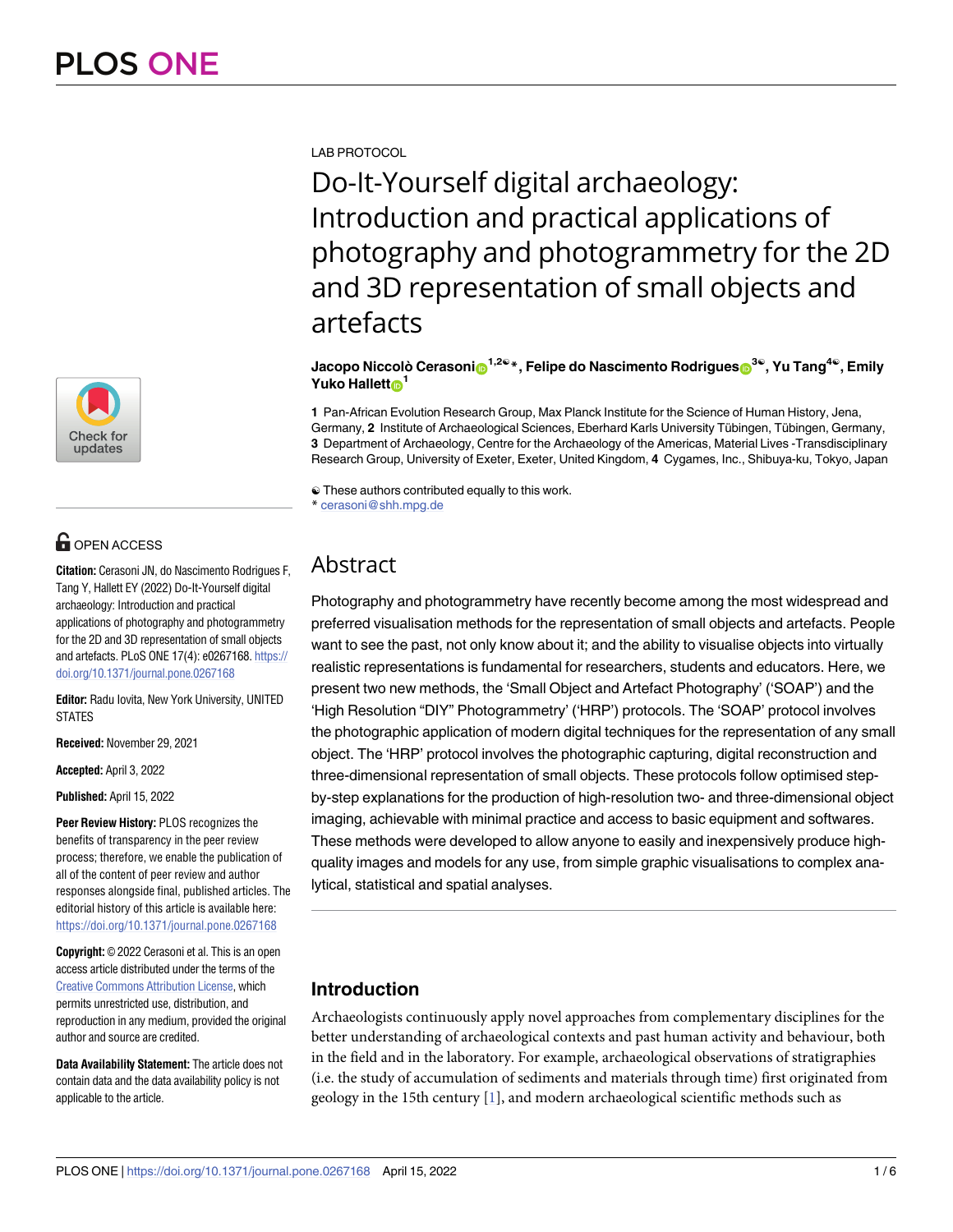

# **G** OPEN ACCESS

Citation: Cerasoni JN, do Nascimento Rodriques F, Tang Y, Hallett EY (2022) Do-It-Yourself digital archaeology: Introduction and practical applications of photography and photogrammetry for the 2D and 3D representation of small objects and artefacts. PLoS ONE 17(4): e0267168. https:// doi.org/10.1371/journal.pone.0267168

Editor: Radu Iovita, New York University, UNITED **STATES** 

Received: November 29, 2021

Accepted: April 3, 2022

Published: April 15, 2022

Peer Review History: PLOS recognizes the benefits of transparency in the peer review process; therefore, we enable the publication of all of the content of peer review and author responses alongside final, published articles. The editorial history of this article is available here: https://doi.org/10.1371/journal.pone.0267168

**Copyright:** © 2022 Cerasoni et al. This is an open access article distributed under the terms of the **Creative Commons Attribution License, which** permits unrestricted use, distribution, and reproduction in any medium, provided the original author and source are credited.

Data Availability Statement: The article does not contain data and the data availability policy is not applicable to the article.

<span id="page-0-0"></span>**LAB PROTOCOL** 

Do-It-Yourself digital archaeology: Introduction and practical applications of photography and photogrammetry for the 2D and 3D representation of small objects and artefacts

Jacopo Niccolò Cerasonio<sup>1,20</sup>\*, Felipe do Nascimento Rodrigues<sup>30</sup>, Yu Tang<sup>40</sup>, Emily Yuko Hallett<sub>®</sub><sup>1</sup>

1 Pan-African Evolution Research Group, Max Planck Institute for the Science of Human History, Jena, Germany, 2 Institute of Archaeological Sciences, Eberhard Karls University Tübingen, Tübingen, Germany, 3 Department of Archaeology, Centre for the Archaeology of the Americas, Material Lives -Transdisciplinary Research Group, University of Exeter, Exeter, United Kingdom, 4 Cygames, Inc., Shibuya-ku, Tokyo, Japan

 $\odot$  These authors contributed equally to this work. \* cerasoni@shh.mpg.de

## Abstract

Photography and photogrammetry have recently become among the most widespread and preferred visualisation methods for the representation of small objects and artefacts. People want to see the past, not only know about it; and the ability to visualise objects into virtually realistic representations is fundamental for researchers, students and educators. Here, we present two new methods, the 'Small Object and Artefact Photography' ('SOAP') and the 'High Resolution "DIY" Photogrammetry' ('HRP') protocols. The 'SOAP' protocol involves the photographic application of modern digital techniques for the representation of any small object. The 'HRP' protocol involves the photographic capturing, digital reconstruction and three-dimensional representation of small objects. These protocols follow optimised stepby-step explanations for the production of high-resolution two- and three-dimensional object imaging, achievable with minimal practice and access to basic equipment and softwares. These methods were developed to allow anyone to easily and inexpensively produce highquality images and models for any use, from simple graphic visualisations to complex analytical, statistical and spatial analyses.

### **Introduction**

Archaeologists continuously apply novel approaches from complementary disciplines for the better understanding of archaeological contexts and past human activity and behaviour, both in the field and in the laboratory. For example, archaeological observations of stratigraphies (i.e. the study of accumulation of sediments and materials through time) first originated from geology in the 15th century  $[1]$ , and modern archaeological scientific methods such as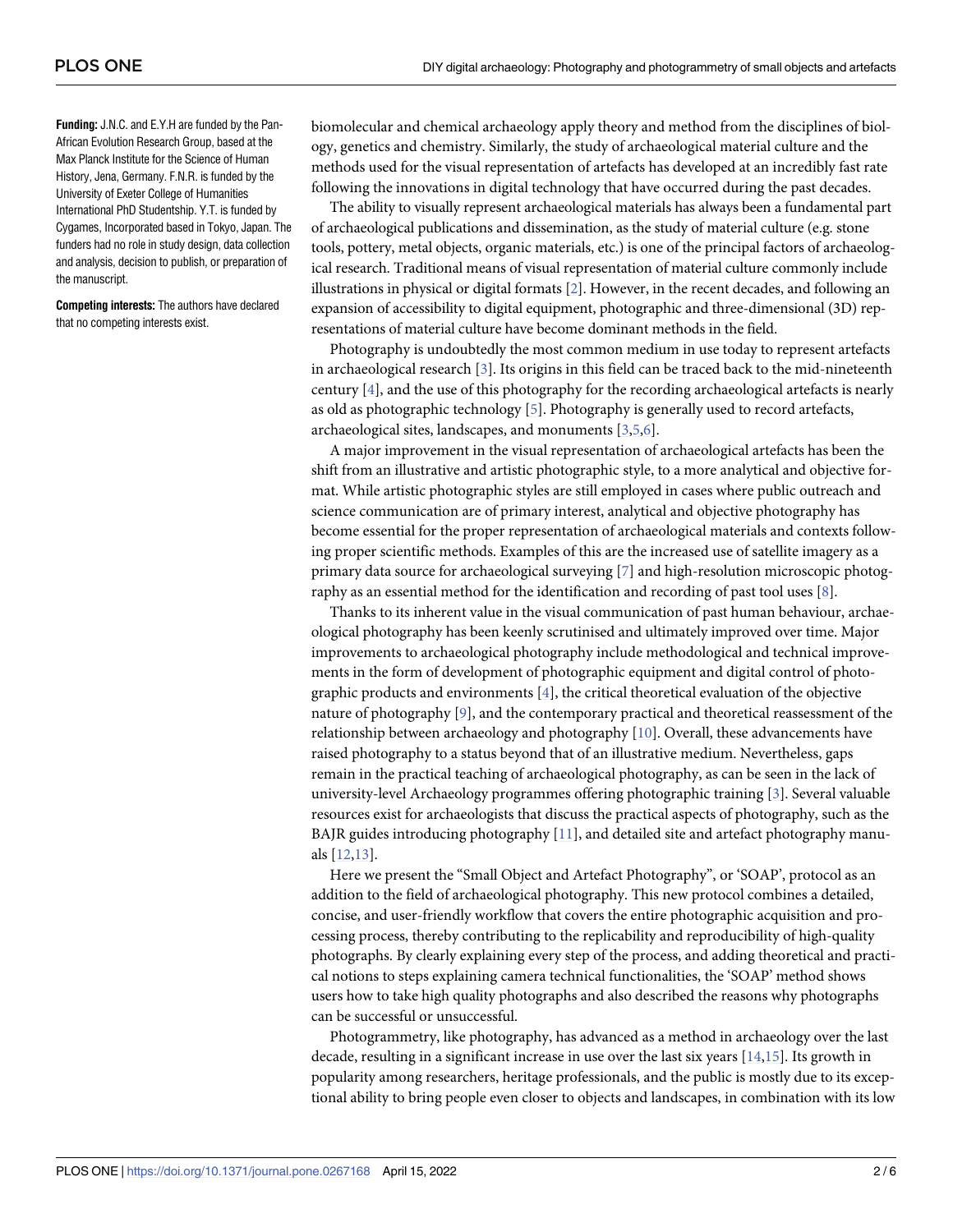<span id="page-1-0"></span>**Funding:** J.N.C. and E.Y.H are funded by the Pan-African Evolution Research Group, based at the Max Planck Institute for the Science of Human History, Jena, Germany. F.N.R. is funded by the University of Exeter College of Humanities International PhD Studentship. Y.T. is funded by Cygames, Incorporated based in Tokyo, Japan. The funders had no role in study design, data collection and analysis, decision to publish, or preparation of the manuscript.

**Competing interests:** The authors have declared that no competing interests exist.

biomolecular and chemical archaeology apply theory and method from the disciplines of biology, genetics and chemistry. Similarly, the study of archaeological material culture and the methods used for the visual representation of artefacts has developed at an incredibly fast rate following the innovations in digital technology that have occurred during the past decades.

The ability to visually represent archaeological materials has always been a fundamental part of archaeological publications and dissemination, as the study of material culture (e.g. stone tools, pottery, metal objects, organic materials, etc.) is one of the principal factors of archaeological research. Traditional means of visual representation of material culture commonly include illustrations in physical or digital formats [[2](#page-4-0)]. However, in the recent decades, and following an expansion of accessibility to digital equipment, photographic and three-dimensional (3D) representations of material culture have become dominant methods in the field.

Photography is undoubtedly the most common medium in use today to represent artefacts in archaeological research [[3](#page-4-0)]. Its origins in this field can be traced back to the mid-nineteenth century [\[4\]](#page-4-0), and the use of this photography for the recording archaeological artefacts is nearly as old as photographic technology [[5](#page-4-0)]. Photography is generally used to record artefacts, archaeological sites, landscapes, and monuments [[3](#page-4-0),[5](#page-4-0),[6](#page-4-0)].

A major improvement in the visual representation of archaeological artefacts has been the shift from an illustrative and artistic photographic style, to a more analytical and objective format. While artistic photographic styles are still employed in cases where public outreach and science communication are of primary interest, analytical and objective photography has become essential for the proper representation of archaeological materials and contexts following proper scientific methods. Examples of this are the increased use of satellite imagery as a primary data source for archaeological surveying [[7](#page-4-0)] and high-resolution microscopic photography as an essential method for the identification and recording of past tool uses [\[8\]](#page-4-0).

Thanks to its inherent value in the visual communication of past human behaviour, archaeological photography has been keenly scrutinised and ultimately improved over time. Major improvements to archaeological photography include methodological and technical improvements in the form of development of photographic equipment and digital control of photographic products and environments [\[4](#page-4-0)], the critical theoretical evaluation of the objective nature of photography [\[9\]](#page-4-0), and the contemporary practical and theoretical reassessment of the relationship between archaeology and photography [\[10\]](#page-4-0). Overall, these advancements have raised photography to a status beyond that of an illustrative medium. Nevertheless, gaps remain in the practical teaching of archaeological photography, as can be seen in the lack of university-level Archaeology programmes offering photographic training [\[3](#page-4-0)]. Several valuable resources exist for archaeologists that discuss the practical aspects of photography, such as the BAJR guides introducing photography [[11](#page-4-0)], and detailed site and artefact photography manuals [\[12,13](#page-4-0)].

Here we present the "Small Object and Artefact Photography", or 'SOAP', protocol as an addition to the field of archaeological photography. This new protocol combines a detailed, concise, and user-friendly workflow that covers the entire photographic acquisition and processing process, thereby contributing to the replicability and reproducibility of high-quality photographs. By clearly explaining every step of the process, and adding theoretical and practical notions to steps explaining camera technical functionalities, the 'SOAP' method shows users how to take high quality photographs and also described the reasons why photographs can be successful or unsuccessful.

Photogrammetry, like photography, has advanced as a method in archaeology over the last decade, resulting in a significant increase in use over the last six years  $[14,15]$  $[14,15]$  $[14,15]$  $[14,15]$ . Its growth in popularity among researchers, heritage professionals, and the public is mostly due to its exceptional ability to bring people even closer to objects and landscapes, in combination with its low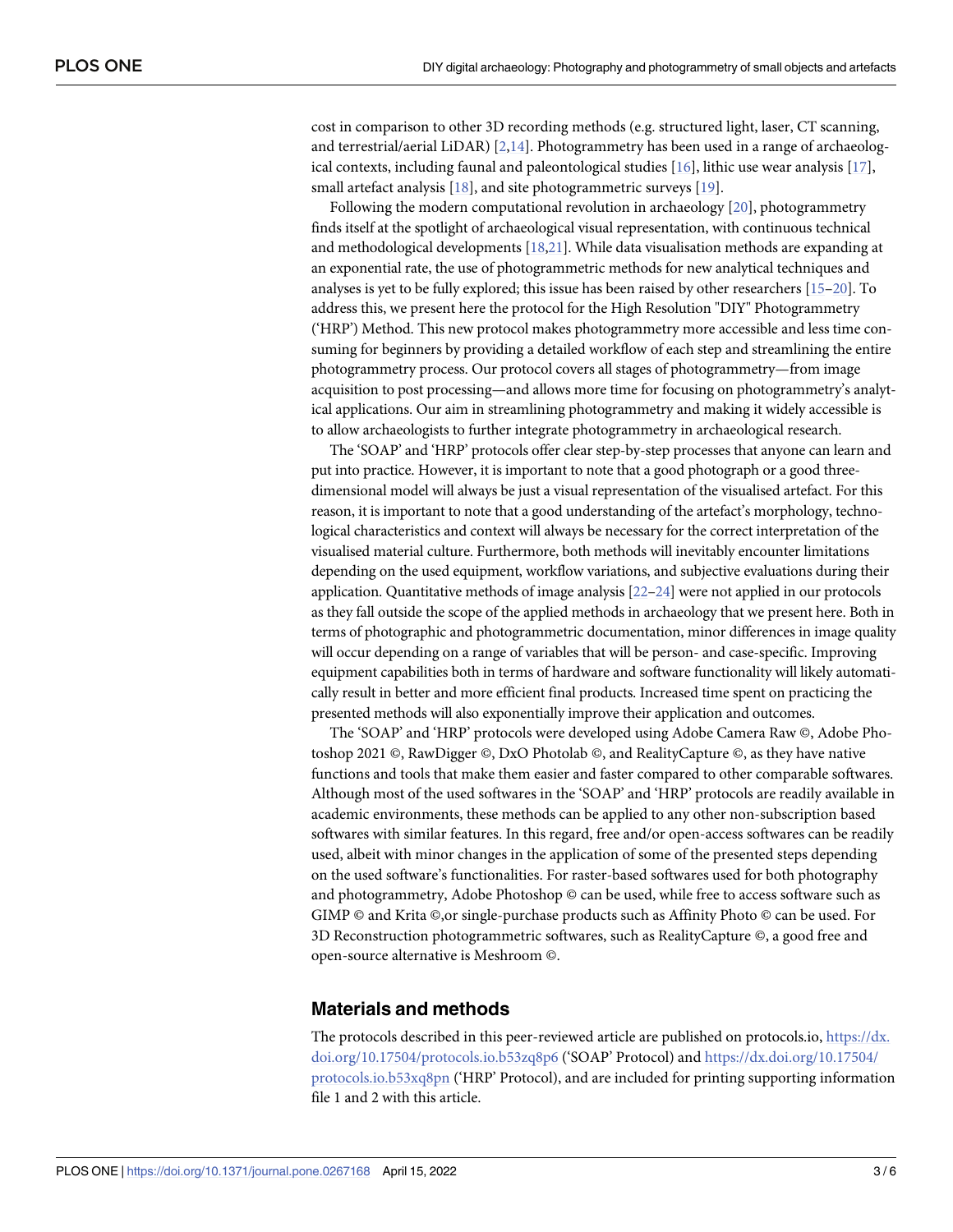<span id="page-2-0"></span>cost in comparison to other 3D recording methods (e.g. structured light, laser, CT scanning, and terrestrial/aerial LiDAR) [[2](#page-4-0),[14](#page-4-0)]. Photogrammetry has been used in a range of archaeological contexts, including faunal and paleontological studies [\[16\]](#page-4-0), lithic use wear analysis [[17](#page-4-0)], small artefact analysis [[18](#page-4-0)], and site photogrammetric surveys [\[19\]](#page-5-0).

Following the modern computational revolution in archaeology [\[20\]](#page-5-0), photogrammetry finds itself at the spotlight of archaeological visual representation, with continuous technical and methodological developments [[18](#page-4-0)[,21\]](#page-5-0). While data visualisation methods are expanding at an exponential rate, the use of photogrammetric methods for new analytical techniques and analyses is yet to be fully explored; this issue has been raised by other researchers [[15](#page-4-0)[–20\]](#page-5-0). To address this, we present here the protocol for the High Resolution "DIY" Photogrammetry ('HRP') Method. This new protocol makes photogrammetry more accessible and less time consuming for beginners by providing a detailed workflow of each step and streamlining the entire photogrammetry process. Our protocol covers all stages of photogrammetry—from image acquisition to post processing—and allows more time for focusing on photogrammetry's analytical applications. Our aim in streamlining photogrammetry and making it widely accessible is to allow archaeologists to further integrate photogrammetry in archaeological research.

The 'SOAP' and 'HRP' protocols offer clear step-by-step processes that anyone can learn and put into practice. However, it is important to note that a good photograph or a good threedimensional model will always be just a visual representation of the visualised artefact. For this reason, it is important to note that a good understanding of the artefact's morphology, technological characteristics and context will always be necessary for the correct interpretation of the visualised material culture. Furthermore, both methods will inevitably encounter limitations depending on the used equipment, workflow variations, and subjective evaluations during their application. Quantitative methods of image analysis [\[22–24\]](#page-5-0) were not applied in our protocols as they fall outside the scope of the applied methods in archaeology that we present here. Both in terms of photographic and photogrammetric documentation, minor differences in image quality will occur depending on a range of variables that will be person- and case-specific. Improving equipment capabilities both in terms of hardware and software functionality will likely automatically result in better and more efficient final products. Increased time spent on practicing the presented methods will also exponentially improve their application and outcomes.

The 'SOAP' and 'HRP' protocols were developed using Adobe Camera Raw ©, Adobe Photoshop 2021 ©, RawDigger ©, DxO Photolab ©, and RealityCapture ©, as they have native functions and tools that make them easier and faster compared to other comparable softwares. Although most of the used softwares in the 'SOAP' and 'HRP' protocols are readily available in academic environments, these methods can be applied to any other non-subscription based softwares with similar features. In this regard, free and/or open-access softwares can be readily used, albeit with minor changes in the application of some of the presented steps depending on the used software's functionalities. For raster-based softwares used for both photography and photogrammetry, Adobe Photoshop © can be used, while free to access software such as GIMP © and Krita ©,or single-purchase products such as Affinity Photo © can be used. For 3D Reconstruction photogrammetric softwares, such as RealityCapture ©, a good free and open-source alternative is Meshroom ©.

#### **Materials and methods**

The protocols described in this peer-reviewed article are published on protocols.io, [https://dx.](https://dx.doi.org/10.17504/protocols.io.b53zq8p6) [doi.org/10.17504/protocols.io.b53zq8p6](https://dx.doi.org/10.17504/protocols.io.b53zq8p6) ('SOAP' Protocol) and [https://dx.doi.org/10.17504/](https://dx.doi.org/10.17504/protocols.io.b53xq8pn) [protocols.io.b53xq8pn](https://dx.doi.org/10.17504/protocols.io.b53xq8pn) ('HRP' Protocol), and are included for printing supporting information file 1 and 2 with this article.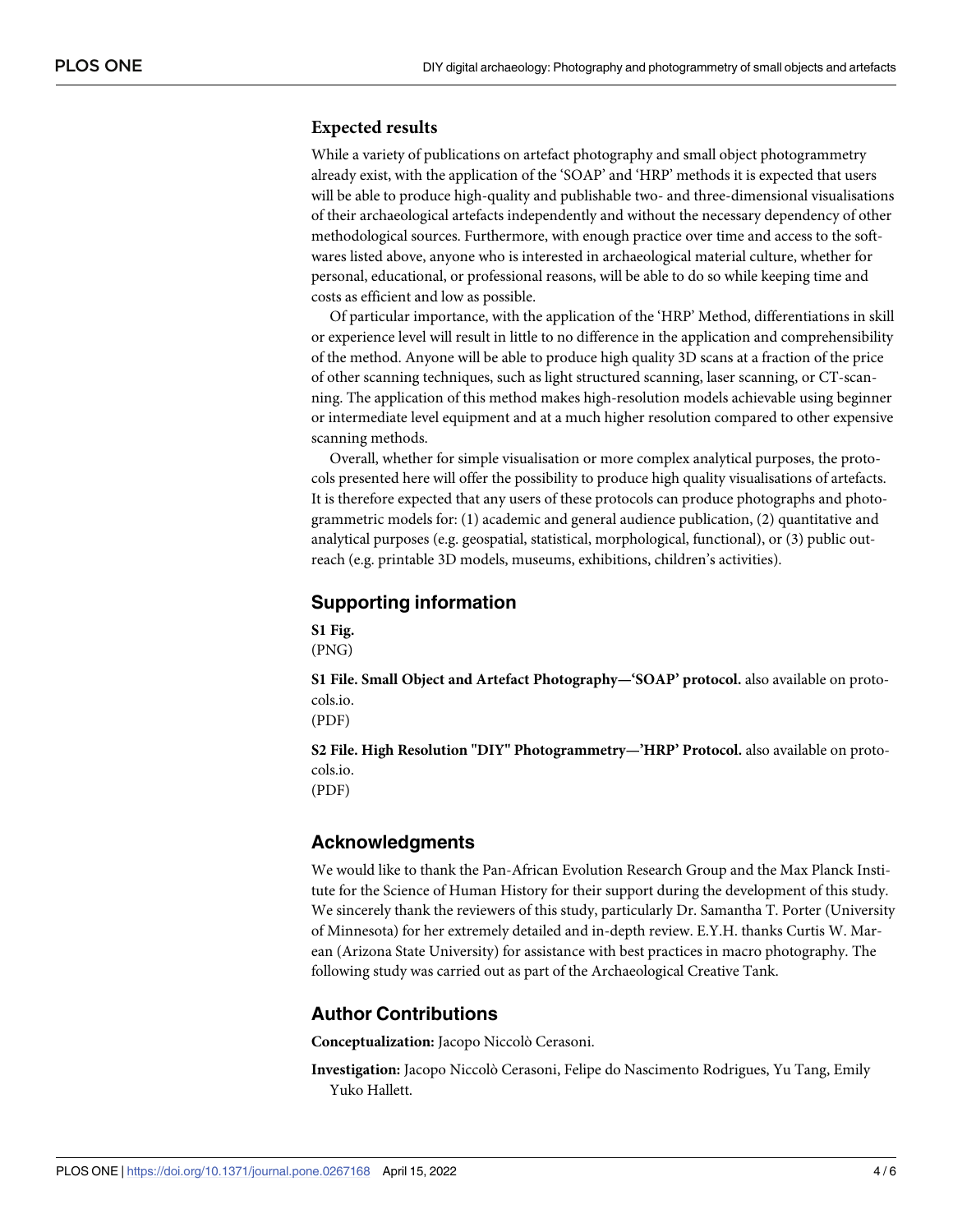#### **Expected results**

While a variety of publications on artefact photography and small object photogrammetry already exist, with the application of the 'SOAP' and 'HRP' methods it is expected that users will be able to produce high-quality and publishable two- and three-dimensional visualisations of their archaeological artefacts independently and without the necessary dependency of other methodological sources. Furthermore, with enough practice over time and access to the softwares listed above, anyone who is interested in archaeological material culture, whether for personal, educational, or professional reasons, will be able to do so while keeping time and costs as efficient and low as possible.

Of particular importance, with the application of the 'HRP' Method, differentiations in skill or experience level will result in little to no difference in the application and comprehensibility of the method. Anyone will be able to produce high quality 3D scans at a fraction of the price of other scanning techniques, such as light structured scanning, laser scanning, or CT-scanning. The application of this method makes high-resolution models achievable using beginner or intermediate level equipment and at a much higher resolution compared to other expensive scanning methods.

Overall, whether for simple visualisation or more complex analytical purposes, the protocols presented here will offer the possibility to produce high quality visualisations of artefacts. It is therefore expected that any users of these protocols can produce photographs and photogrammetric models for: (1) academic and general audience publication, (2) quantitative and analytical purposes (e.g. geospatial, statistical, morphological, functional), or (3) public outreach (e.g. printable 3D models, museums, exhibitions, children's activities).

#### **Supporting information**

**S1 [Fig](http://www.plosone.org/article/fetchSingleRepresentation.action?uri=info:doi/10.1371/journal.pone.0267168.s001).** (PNG)

**S1 [File.](http://www.plosone.org/article/fetchSingleRepresentation.action?uri=info:doi/10.1371/journal.pone.0267168.s002) Small Object and Artefact Photography—'SOAP' protocol.** also available on protocols.io.

(PDF)

**S2 [File.](http://www.plosone.org/article/fetchSingleRepresentation.action?uri=info:doi/10.1371/journal.pone.0267168.s003) High Resolution "DIY" Photogrammetry—'HRP' Protocol.** also available on protocols.io. (PDF)

### **Acknowledgments**

We would like to thank the Pan-African Evolution Research Group and the Max Planck Institute for the Science of Human History for their support during the development of this study. We sincerely thank the reviewers of this study, particularly Dr. Samantha T. Porter (University of Minnesota) for her extremely detailed and in-depth review. E.Y.H. thanks Curtis W. Marean (Arizona State University) for assistance with best practices in macro photography. The following study was carried out as part of the Archaeological Creative Tank.

### **Author Contributions**

**Conceptualization:** Jacopo Niccolò Cerasoni.

**Investigation:** Jacopo Niccolò Cerasoni, Felipe do Nascimento Rodrigues, Yu Tang, Emily Yuko Hallett.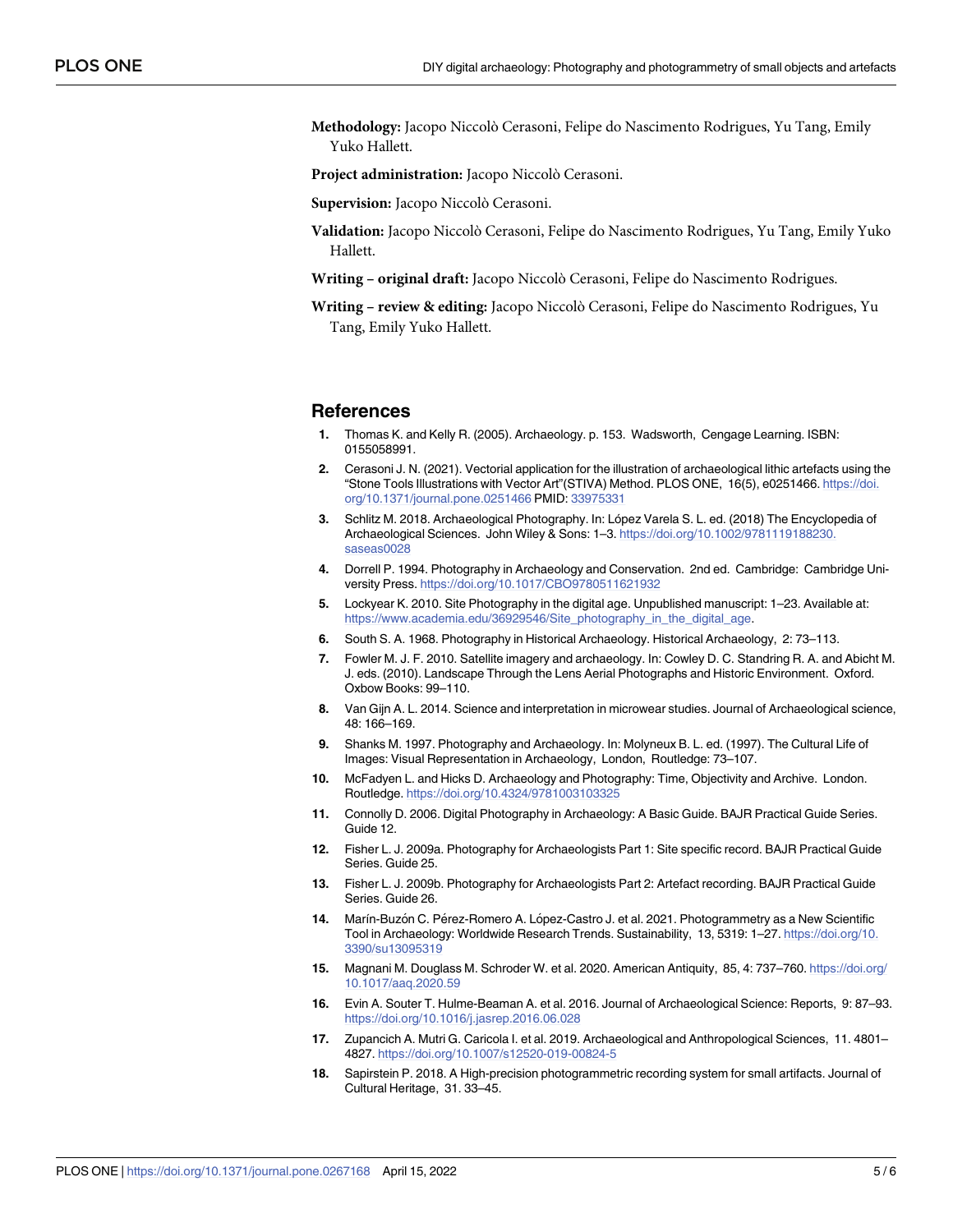<span id="page-4-0"></span>**Methodology:** Jacopo Niccolò Cerasoni, Felipe do Nascimento Rodrigues, Yu Tang, Emily Yuko Hallett.

**Project administration:** Jacopo Niccolò Cerasoni.

**Supervision:** Jacopo Niccolò Cerasoni.

- **Validation:** Jacopo Niccolò Cerasoni, Felipe do Nascimento Rodrigues, Yu Tang, Emily Yuko Hallett.
- **Writing – original draft:** Jacopo Niccolò Cerasoni, Felipe do Nascimento Rodrigues.

**Writing – review & editing:** Jacopo Niccolò Cerasoni, Felipe do Nascimento Rodrigues, Yu Tang, Emily Yuko Hallett.

#### **References**

- **[1](#page-0-0).** Thomas K. and Kelly R. (2005). Archaeology. p. 153. Wadsworth, Cengage Learning. ISBN: 0155058991.
- **[2](#page-1-0).** Cerasoni J. N. (2021). Vectorial application for the illustration of archaeological lithic artefacts using the "Stone Tools Illustrations with Vector Art"(STIVA) Method. PLOS ONE, 16(5), e0251466. [https://doi.](https://doi.org/10.1371/journal.pone.0251466) [org/10.1371/journal.pone.0251466](https://doi.org/10.1371/journal.pone.0251466) PMID: [33975331](http://www.ncbi.nlm.nih.gov/pubmed/33975331)
- **[3](#page-1-0).** Schlitz M. 2018. Archaeological Photography. In: López Varela S. L. ed. (2018) The Encyclopedia of Archaeological Sciences. John Wiley & Sons: 1–3. [https://doi.org/10.1002/9781119188230.](https://doi.org/10.1002/9781119188230.saseas0028) [saseas0028](https://doi.org/10.1002/9781119188230.saseas0028)
- **[4](#page-1-0).** Dorrell P. 1994. Photography in Archaeology and Conservation. 2nd ed. Cambridge: Cambridge University Press. <https://doi.org/10.1017/CBO9780511621932>
- **[5](#page-1-0).** Lockyear K. 2010. Site Photography in the digital age. Unpublished manuscript: 1–23. Available at: [https://www.academia.edu/36929546/Site\\_photography\\_in\\_the\\_digital\\_age.](https://www.academia.edu/36929546/Site_photography_in_the_digital_age)
- **[6](#page-1-0).** South S. A. 1968. Photography in Historical Archaeology. Historical Archaeology, 2: 73–113.
- **[7](#page-1-0).** Fowler M. J. F. 2010. Satellite imagery and archaeology. In: Cowley D. C. Standring R. A. and Abicht M. J. eds. (2010). Landscape Through the Lens Aerial Photographs and Historic Environment. Oxford. Oxbow Books: 99–110.
- **[8](#page-1-0).** Van Gijn A. L. 2014. Science and interpretation in microwear studies. Journal of Archaeological science, 48: 166–169.
- **[9](#page-1-0).** Shanks M. 1997. Photography and Archaeology. In: Molyneux B. L. ed. (1997). The Cultural Life of Images: Visual Representation in Archaeology, London, Routledge: 73–107.
- **[10](#page-1-0).** McFadyen L. and Hicks D. Archaeology and Photography: Time, Objectivity and Archive. London. Routledge. <https://doi.org/10.4324/9781003103325>
- **[11](#page-1-0).** Connolly D. 2006. Digital Photography in Archaeology: A Basic Guide. BAJR Practical Guide Series. Guide 12.
- **[12](#page-1-0).** Fisher L. J. 2009a. Photography for Archaeologists Part 1: Site specific record. BAJR Practical Guide Series. Guide 25.
- **[13](#page-1-0).** Fisher L. J. 2009b. Photography for Archaeologists Part 2: Artefact recording. BAJR Practical Guide Series. Guide 26.
- **[14](#page-2-0).** Marín-Buzón C. Pérez-Romero A. López-Castro J. et al. 2021. Photogrammetry as a New Scientific Tool in Archaeology: Worldwide Research Trends. Sustainability, 13, 5319: 1–27. [https://doi.org/10.](https://doi.org/10.3390/su13095319) [3390/su13095319](https://doi.org/10.3390/su13095319)
- **[15](#page-2-0).** Magnani M. Douglass M. Schroder W. et al. 2020. American Antiquity, 85, 4: 737–760. [https://doi.org/](https://doi.org/10.1017/aaq.2020.59) [10.1017/aaq.2020.59](https://doi.org/10.1017/aaq.2020.59)
- **[16](#page-2-0).** Evin A. Souter T. Hulme-Beaman A. et al. 2016. Journal of Archaeological Science: Reports, 9: 87–93. <https://doi.org/10.1016/j.jasrep.2016.06.028>
- **[17](#page-2-0).** Zupancich A. Mutri G. Caricola I. et al. 2019. Archaeological and Anthropological Sciences, 11. 4801– 4827. <https://doi.org/10.1007/s12520-019-00824-5>
- **[18](#page-2-0).** Sapirstein P. 2018. A High-precision photogrammetric recording system for small artifacts. Journal of Cultural Heritage, 31. 33–45.